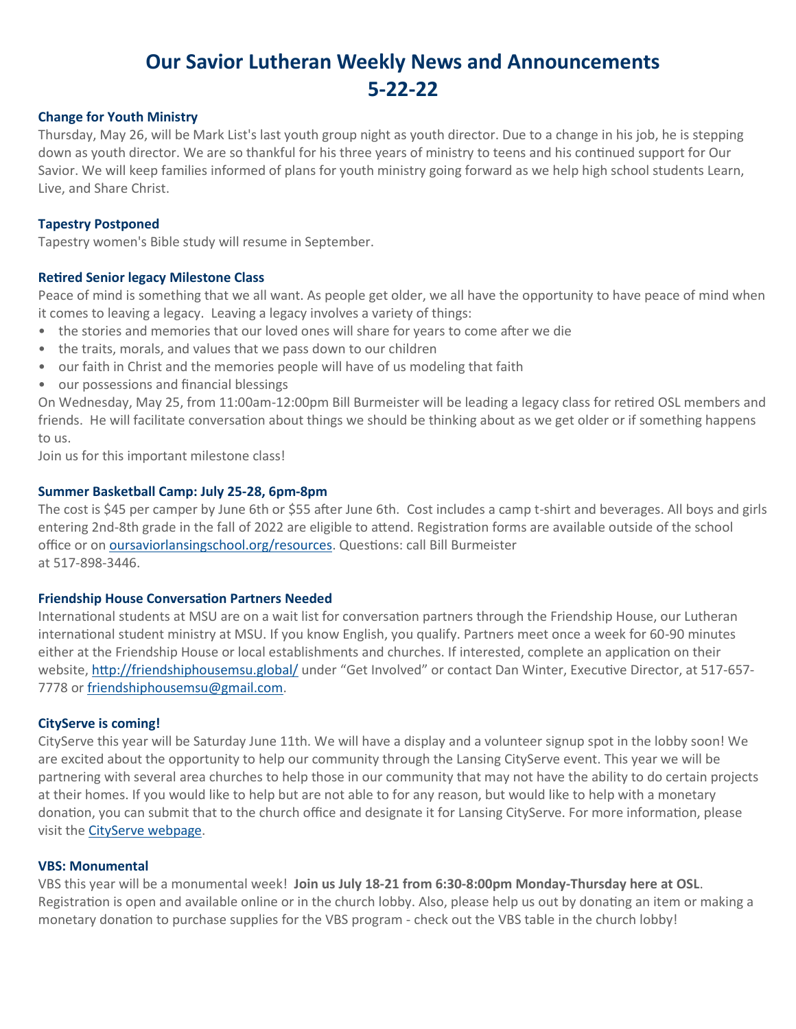# **Our Savior Lutheran Weekly News and Announcements 5-22-22**

## **Change for Youth Ministry**

Thursday, May 26, will be Mark List's last youth group night as youth director. Due to a change in his job, he is stepping down as youth director. We are so thankful for his three years of ministry to teens and his continued support for Our Savior. We will keep families informed of plans for youth ministry going forward as we help high school students Learn, Live, and Share Christ.

## **Tapestry Postponed**

Tapestry women's Bible study will resume in September.

# **Retired Senior legacy Milestone Class**

Peace of mind is something that we all want. As people get older, we all have the opportunity to have peace of mind when it comes to leaving a legacy. Leaving a legacy involves a variety of things:

- the stories and memories that our loved ones will share for years to come after we die
- the traits, morals, and values that we pass down to our children
- our faith in Christ and the memories people will have of us modeling that faith
- our possessions and financial blessings

On Wednesday, May 25, from 11:00am-12:00pm Bill Burmeister will be leading a legacy class for retired OSL members and friends. He will facilitate conversation about things we should be thinking about as we get older or if something happens to us.

Join us for this important milestone class!

# **Summer Basketball Camp: July 25-28, 6pm-8pm**

The cost is \$45 per camper by June 6th or \$55 after June 6th. Cost includes a camp t-shirt and beverages. All boys and girls entering 2nd-8th grade in the fall of 2022 are eligible to attend. Registration forms are available outside of the school office or on [oursaviorlansingschool.org/resources.](http://www.oursaviorlansingschool.org/resources) Questions: call Bill Burmeister at 517-898-3446.

#### **Friendship House Conversation Partners Needed**

International students at MSU are on a wait list for conversation partners through the Friendship House, our Lutheran international student ministry at MSU. If you know English, you qualify. Partners meet once a week for 60-90 minutes either at the Friendship House or local establishments and churches. If interested, complete an application on their website, <http://friendshiphousemsu.global/> under "Get Involved" or contact Dan Winter, Executive Director, at 517-657- 7778 or [friendshiphousemsu@gmail.com.](mailto:friendshiphousemsu@gmail.com)

#### **CityServe is coming!**

CityServe this year will be Saturday June 11th. We will have a display and a volunteer signup spot in the lobby soon! We are excited about the opportunity to help our community through the Lansing CityServe event. This year we will be partnering with several area churches to help those in our community that may not have the ability to do certain projects at their homes. If you would like to help but are not able to for any reason, but would like to help with a monetary donation, you can submit that to the church office and designate it for Lansing CityServe. For more information, please visit the [CityServe webpage.](https://www.oursaviorlansing.org/cityserve/)

#### **VBS: Monumental**

VBS this year will be a monumental week! **Join us July 18-21 from 6:30-8:00pm Monday-Thursday here at OSL**. Registration is open and available online or in the church lobby. Also, please help us out by donating an item or making a monetary donation to purchase supplies for the VBS program - check out the VBS table in the church lobby!